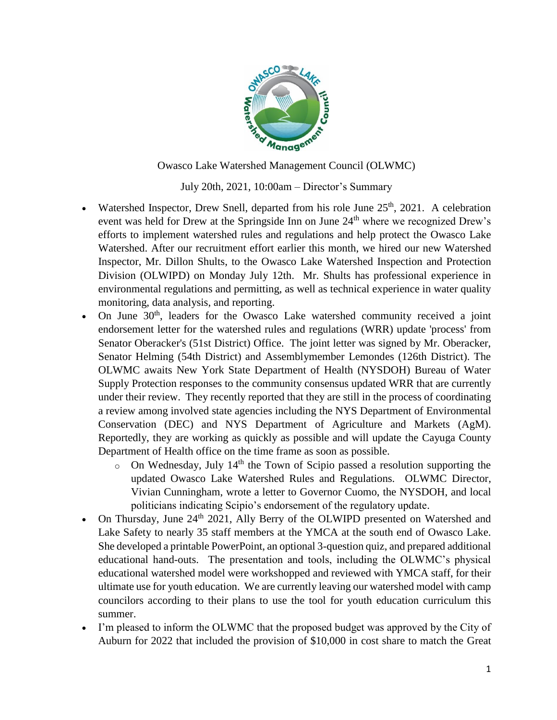

Owasco Lake Watershed Management Council (OLWMC)

July 20th, 2021, 10:00am – Director's Summary

- Watershed Inspector, Drew Snell, departed from his role June  $25<sup>th</sup>$ , 2021. A celebration event was held for Drew at the Springside Inn on June 24<sup>th</sup> where we recognized Drew's efforts to implement watershed rules and regulations and help protect the Owasco Lake Watershed. After our recruitment effort earlier this month, we hired our new Watershed Inspector, Mr. Dillon Shults, to the Owasco Lake Watershed Inspection and Protection Division (OLWIPD) on Monday July 12th. Mr. Shults has professional experience in environmental regulations and permitting, as well as technical experience in water quality monitoring, data analysis, and reporting.
- $\bullet$  On June 30<sup>th</sup>, leaders for the Owasco Lake watershed community received a joint endorsement letter for the watershed rules and regulations (WRR) update 'process' from Senator Oberacker's (51st District) Office. The joint letter was signed by Mr. Oberacker, Senator Helming (54th District) and Assemblymember Lemondes (126th District). The OLWMC awaits New York State Department of Health (NYSDOH) Bureau of Water Supply Protection responses to the community consensus updated WRR that are currently under their review. They recently reported that they are still in the process of coordinating a review among involved state agencies including the NYS Department of Environmental Conservation (DEC) and NYS Department of Agriculture and Markets (AgM). Reportedly, they are working as quickly as possible and will update the Cayuga County Department of Health office on the time frame as soon as possible.
	- $\circ$  On Wednesday, July 14<sup>th</sup> the Town of Scipio passed a resolution supporting the updated Owasco Lake Watershed Rules and Regulations. OLWMC Director, Vivian Cunningham, wrote a letter to Governor Cuomo, the NYSDOH, and local politicians indicating Scipio's endorsement of the regulatory update.
- On Thursday, June 24<sup>th</sup> 2021, Ally Berry of the OLWIPD presented on Watershed and Lake Safety to nearly 35 staff members at the YMCA at the south end of Owasco Lake. She developed a printable PowerPoint, an optional 3-question quiz, and prepared additional educational hand-outs. The presentation and tools, including the OLWMC's physical educational watershed model were workshopped and reviewed with YMCA staff, for their ultimate use for youth education. We are currently leaving our watershed model with camp councilors according to their plans to use the tool for youth education curriculum this summer.
- I'm pleased to inform the OLWMC that the proposed budget was approved by the City of Auburn for 2022 that included the provision of \$10,000 in cost share to match the Great